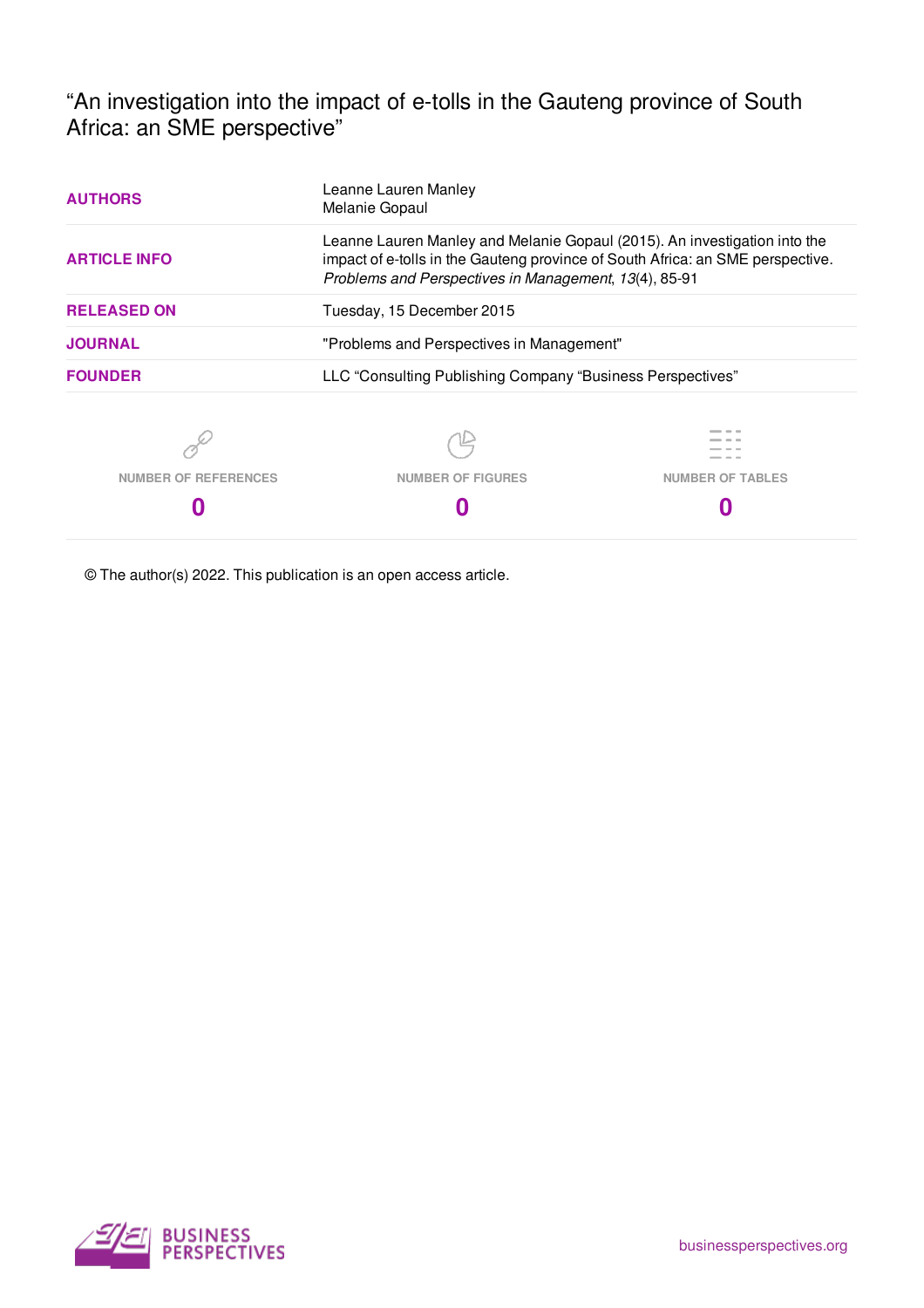"An investigation into the impact of e-tolls in the Gauteng province of South Africa: an SME perspective"

| <b>AUTHORS</b>              | Leanne Lauren Manley<br>Melanie Gopaul                                                                                                                                                                               |                         |  |  |  |  |  |  |
|-----------------------------|----------------------------------------------------------------------------------------------------------------------------------------------------------------------------------------------------------------------|-------------------------|--|--|--|--|--|--|
| <b>ARTICLE INFO</b>         | Leanne Lauren Manley and Melanie Gopaul (2015). An investigation into the<br>impact of e-tolls in the Gauteng province of South Africa: an SME perspective.<br>Problems and Perspectives in Management, 13(4), 85-91 |                         |  |  |  |  |  |  |
| <b>RELEASED ON</b>          | Tuesday, 15 December 2015                                                                                                                                                                                            |                         |  |  |  |  |  |  |
| <b>JOURNAL</b>              | "Problems and Perspectives in Management"                                                                                                                                                                            |                         |  |  |  |  |  |  |
| <b>FOUNDER</b>              | LLC "Consulting Publishing Company "Business Perspectives"                                                                                                                                                           |                         |  |  |  |  |  |  |
|                             |                                                                                                                                                                                                                      |                         |  |  |  |  |  |  |
| <b>NUMBER OF REFERENCES</b> | <b>NUMBER OF FIGURES</b>                                                                                                                                                                                             | <b>NUMBER OF TABLES</b> |  |  |  |  |  |  |
|                             |                                                                                                                                                                                                                      |                         |  |  |  |  |  |  |

© The author(s) 2022. This publication is an open access article.

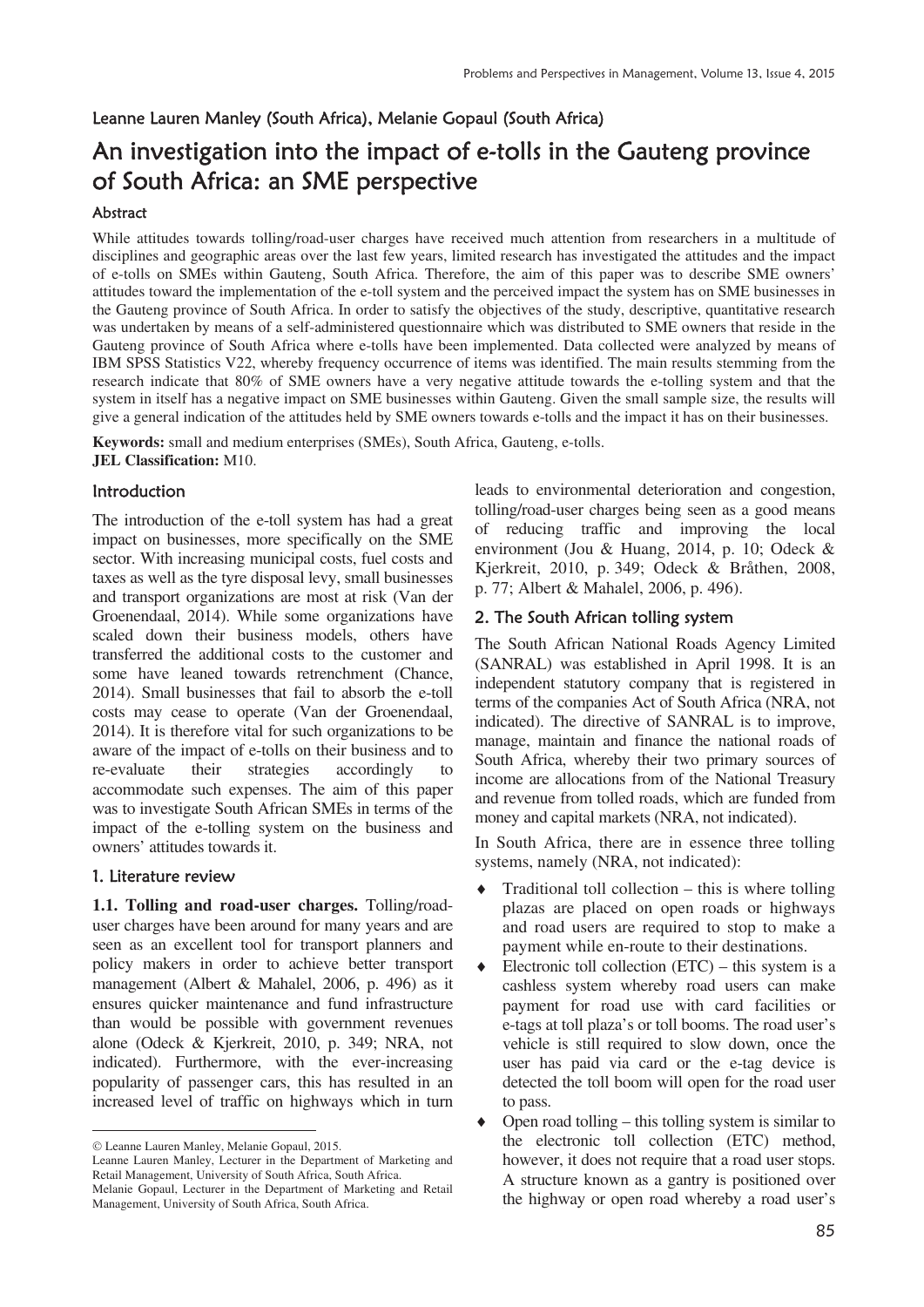### Leanne Lauren Manley (South Africa), Melanie Gopaul (South Africa)

# An investigation into the impact of e-tolls in the Gauteng province of South Africa: an SME perspective

#### Abstract

While attitudes towards tolling/road-user charges have received much attention from researchers in a multitude of disciplines and geographic areas over the last few years, limited research has investigated the attitudes and the impact of e-tolls on SMEs within Gauteng, South Africa. Therefore, the aim of this paper was to describe SME owners' attitudes toward the implementation of the e-toll system and the perceived impact the system has on SME businesses in the Gauteng province of South Africa. In order to satisfy the objectives of the study, descriptive, quantitative research was undertaken by means of a self-administered questionnaire which was distributed to SME owners that reside in the Gauteng province of South Africa where e-tolls have been implemented. Data collected were analyzed by means of IBM SPSS Statistics V22, whereby frequency occurrence of items was identified. The main results stemming from the research indicate that 80% of SME owners have a very negative attitude towards the e-tolling system and that the system in itself has a negative impact on SME businesses within Gauteng. Given the small sample size, the results will give a general indication of the attitudes held by SME owners towards e-tolls and the impact it has on their businesses.

**Keywords:** small and medium enterprises (SMEs), South Africa, Gauteng, e-tolls. **JEL Classification:** M10.

### Introduction

The introduction of the e-toll system has had a great impact on businesses, more specifically on the SME sector. With increasing municipal costs, fuel costs and taxes as well as the tyre disposal levy, small businesses and transport organizations are most at risk (Van der Groenendaal, 2014). While some organizations have scaled down their business models, others have transferred the additional costs to the customer and some have leaned towards retrenchment (Chance, 2014). Small businesses that fail to absorb the e-toll costs may cease to operate (Van der Groenendaal, 2014). It is therefore vital for such organizations to be aware of the impact of e-tolls on their business and to re-evaluate their strategies accordingly to accommodate such expenses. The aim of this paper was to investigate South African SMEs in terms of the impact of the e-tolling system on the business and owners' attitudes towards it.

### 1. Literature review

 $\overline{a}$ 

**1.1. Tolling and road-user charges.** Tolling/roaduser charges have been around for many years and are seen as an excellent tool for transport planners and policy makers in order to achieve better transport management (Albert & Mahalel, 2006, p. 496) as it ensures quicker maintenance and fund infrastructure than would be possible with government revenues alone (Odeck & Kjerkreit, 2010, p. 349; NRA, not indicated). Furthermore, with the ever-increasing popularity of passenger cars, this has resulted in an increased level of traffic on highways which in turn

Leanne Lauren Manley, Melanie Gopaul, 2015.

Leanne Lauren Manley, Lecturer in the Department of Marketing and Retail Management, University of South Africa, South Africa. Melanie Gopaul, Lecturer in the Department of Marketing and Retail Management, University of South Africa, South Africa.

leads to environmental deterioration and congestion, tolling/road-user charges being seen as a good means of reducing traffic and improving the local environment (Jou & Huang, 2014, p. 10; Odeck & Kjerkreit, 2010, p. 349; Odeck & Bråthen, 2008, p. 77; Albert & Mahalel, 2006, p. 496).

### 2. The South African tolling system

The South African National Roads Agency Limited (SANRAL) was established in April 1998. It is an independent statutory company that is registered in terms of the companies Act of South Africa (NRA, not indicated). The directive of SANRAL is to improve, manage, maintain and finance the national roads of South Africa, whereby their two primary sources of income are allocations from of the National Treasury and revenue from tolled roads, which are funded from money and capital markets (NRA, not indicated).

In South Africa, there are in essence three tolling systems, namely (NRA, not indicated):

- Traditional toll collection  $-$  this is where tolling plazas are placed on open roads or highways and road users are required to stop to make a payment while en-route to their destinations.
- Electronic toll collection  $(ETC)$  this system is a cashless system whereby road users can make payment for road use with card facilities or e-tags at toll plaza's or toll booms. The road user's vehicle is still required to slow down, once the user has paid via card or the e-tag device is detected the toll boom will open for the road user to pass.

Open road tolling – this tolling system is similar to the electronic toll collection (ETC) method, however, it does not require that a road user stops. A structure known as a gantry is positioned over the highway or open road whereby a road user's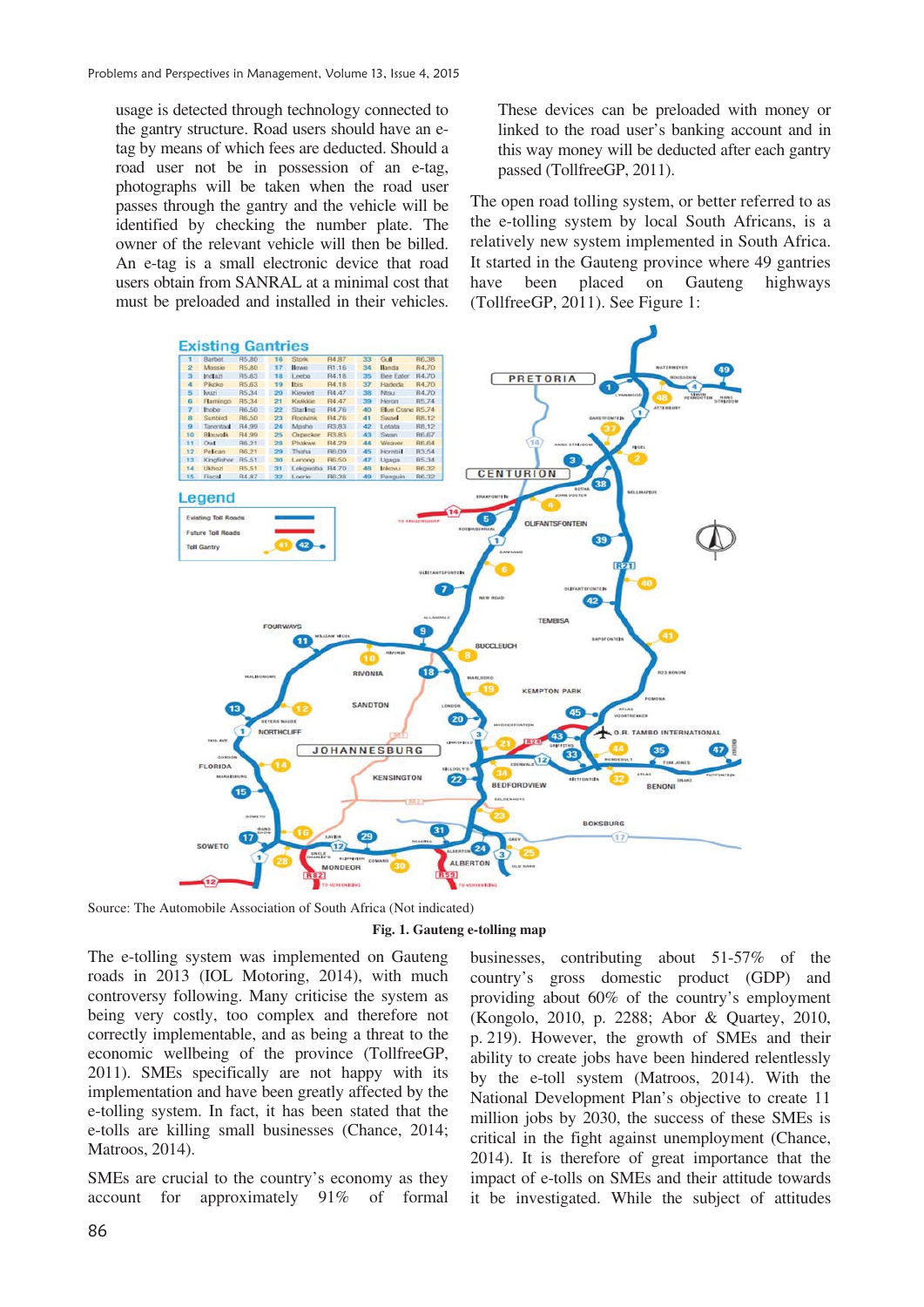usage is detected through technology connected to the gantry structure. Road users should have an etag by means of which fees are deducted. Should a road user not be in possession of an e-tag, photographs will be taken when the road user passes through the gantry and the vehicle will be identified by checking the number plate. The owner of the relevant vehicle will then be billed. An e-tag is a small electronic device that road users obtain from SANRAL at a minimal cost that must be preloaded and installed in their vehicles.

These devices can be preloaded with money or linked to the road user's banking account and in this way money will be deducted after each gantry passed (TollfreeGP, 2011).

The open road tolling system, or better referred to as the e-tolling system by local South Africans, is a relatively new system implemented in South Africa. It started in the Gauteng province where 49 gantries have been placed on Gauteng highways (TollfreeGP, 2011). See Figure 1:



Source: The Automobile Association of South Africa (Not indicated)

**Fig. 1. Gauteng e-tolling map** 

The e-tolling system was implemented on Gauteng roads in 2013 (IOL Motoring, 2014), with much controversy following. Many criticise the system as being very costly, too complex and therefore not correctly implementable, and as being a threat to the economic wellbeing of the province (TollfreeGP, 2011). SMEs specifically are not happy with its implementation and have been greatly affected by the e-tolling system. In fact, it has been stated that the e-tolls are killing small businesses (Chance, 2014; Matroos, 2014).

SMEs are crucial to the country's economy as they account for approximately 91% of formal

businesses, contributing about 51-57% of the country's gross domestic product (GDP) and providing about 60% of the country's employment (Kongolo, 2010, p. 2288; Abor & Quartey, 2010, p. 219). However, the growth of SMEs and their ability to create jobs have been hindered relentlessly by the e-toll system (Matroos, 2014). With the National Development Plan's objective to create 11 million jobs by 2030, the success of these SMEs is critical in the fight against unemployment (Chance, 2014). It is therefore of great importance that the impact of e-tolls on SMEs and their attitude towards it be investigated. While the subject of attitudes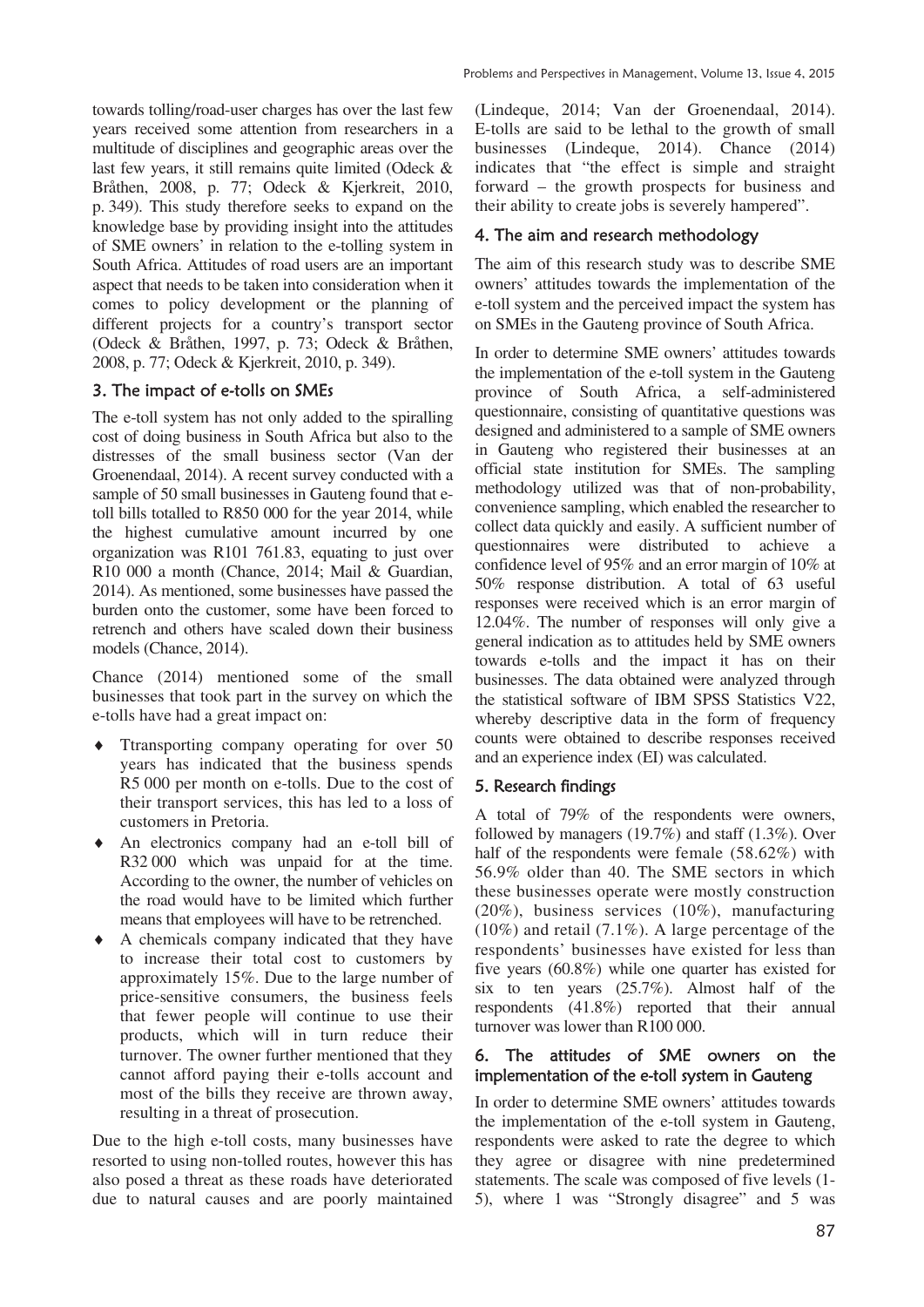towards tolling/road-user charges has over the last few years received some attention from researchers in a multitude of disciplines and geographic areas over the last few years, it still remains quite limited (Odeck & Bråthen, 2008, p. 77; Odeck & Kjerkreit, 2010, p. 349). This study therefore seeks to expand on the knowledge base by providing insight into the attitudes of SME owners' in relation to the e-tolling system in South Africa. Attitudes of road users are an important aspect that needs to be taken into consideration when it comes to policy development or the planning of different projects for a country's transport sector (Odeck & Bråthen, 1997, p. 73; Odeck & Bråthen, 2008, p. 77; Odeck & Kjerkreit, 2010, p. 349).

## 3. The impact of e-tolls on SMEs

The e-toll system has not only added to the spiralling cost of doing business in South Africa but also to the distresses of the small business sector (Van der Groenendaal, 2014). A recent survey conducted with a sample of 50 small businesses in Gauteng found that etoll bills totalled to R850 000 for the year 2014, while the highest cumulative amount incurred by one organization was R101 761.83, equating to just over R10 000 a month (Chance, 2014; Mail & Guardian, 2014). As mentioned, some businesses have passed the burden onto the customer, some have been forced to retrench and others have scaled down their business models (Chance, 2014).

Chance (2014) mentioned some of the small businesses that took part in the survey on which the e-tolls have had a great impact on:

- $\triangleleft$  Ttransporting company operating for over 50 years has indicated that the business spends R5 000 per month on e-tolls. Due to the cost of their transport services, this has led to a loss of customers in Pretoria.
- i An electronics company had an e-toll bill of R32 000 which was unpaid for at the time. According to the owner, the number of vehicles on the road would have to be limited which further means that employees will have to be retrenched.
- A chemicals company indicated that they have to increase their total cost to customers by approximately 15%. Due to the large number of price-sensitive consumers, the business feels that fewer people will continue to use their products, which will in turn reduce their turnover. The owner further mentioned that they cannot afford paying their e-tolls account and most of the bills they receive are thrown away, resulting in a threat of prosecution.

Due to the high e-toll costs, many businesses have resorted to using non-tolled routes, however this has also posed a threat as these roads have deteriorated due to natural causes and are poorly maintained (Lindeque, 2014; Van der Groenendaal, 2014). E-tolls are said to be lethal to the growth of small businesses (Lindeque, 2014). Chance (2014) indicates that "the effect is simple and straight forward – the growth prospects for business and

# 4. The aim and research methodology

their ability to create jobs is severely hampered".

The aim of this research study was to describe SME owners' attitudes towards the implementation of the e-toll system and the perceived impact the system has on SMEs in the Gauteng province of South Africa.

In order to determine SME owners' attitudes towards the implementation of the e-toll system in the Gauteng province of South Africa, a self-administered questionnaire, consisting of quantitative questions was designed and administered to a sample of SME owners in Gauteng who registered their businesses at an official state institution for SMEs. The sampling methodology utilized was that of non-probability, convenience sampling, which enabled the researcher to collect data quickly and easily. A sufficient number of questionnaires were distributed to achieve a confidence level of 95% and an error margin of 10% at 50% response distribution. A total of 63 useful responses were received which is an error margin of 12.04%. The number of responses will only give a general indication as to attitudes held by SME owners towards e-tolls and the impact it has on their businesses. The data obtained were analyzed through the statistical software of IBM SPSS Statistics V22, whereby descriptive data in the form of frequency counts were obtained to describe responses received and an experience index (EI) was calculated.

## 5. Research findings

A total of 79% of the respondents were owners, followed by managers (19.7%) and staff (1.3%). Over half of the respondents were female (58.62%) with 56.9% older than 40. The SME sectors in which these businesses operate were mostly construction (20%), business services (10%), manufacturing (10%) and retail (7.1%). A large percentage of the respondents' businesses have existed for less than five years (60.8%) while one quarter has existed for six to ten years (25.7%). Almost half of the respondents (41.8%) reported that their annual turnover was lower than R100 000.

### 6. The attitudes of SME owners on the implementation of the e-toll system in Gauteng

In order to determine SME owners' attitudes towards the implementation of the e-toll system in Gauteng, respondents were asked to rate the degree to which they agree or disagree with nine predetermined statements. The scale was composed of five levels (1- 5), where 1 was "Strongly disagree" and 5 was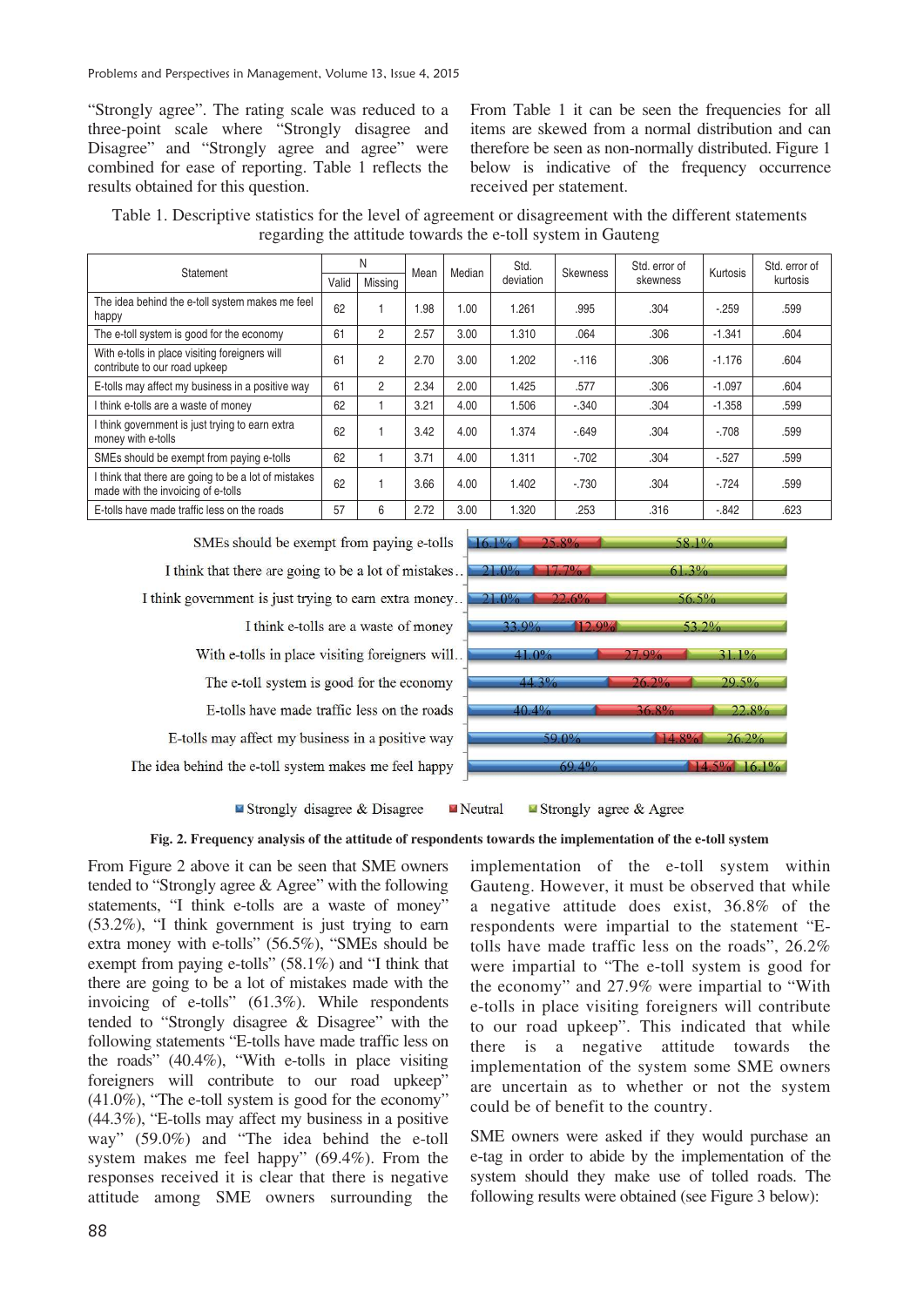"Strongly agree". The rating scale was reduced to a three-point scale where "Strongly disagree and Disagree" and "Strongly agree and agree" were combined for ease of reporting. Table 1 reflects the results obtained for this question.

From Table 1 it can be seen the frequencies for all items are skewed from a normal distribution and can therefore be seen as non-normally distributed. Figure 1 below is indicative of the frequency occurrence received per statement.

Table 1. Descriptive statistics for the level of agreement or disagreement with the different statements regarding the attitude towards the e-toll system in Gauteng

| Statement                                                                                  | N     |                | Mean | Median | Std.      | <b>Skewness</b> | Std. error of | Kurtosis | Std. error of |
|--------------------------------------------------------------------------------------------|-------|----------------|------|--------|-----------|-----------------|---------------|----------|---------------|
|                                                                                            | Valid | Missing        |      |        | deviation |                 | skewness      |          | kurtosis      |
| The idea behind the e-toll system makes me feel<br>happy                                   | 62    |                | .98  | 1.00   | 1.261     | .995            | .304          | $-259$   | .599          |
| The e-toll system is good for the economy                                                  | 61    | 2              | 2.57 | 3.00   | 1.310     | .064            | .306          | $-1.341$ | .604          |
| With e-tolls in place visiting foreigners will<br>contribute to our road upkeep            | 61    | $\overline{2}$ | 2.70 | 3.00   | 1.202     | $-116$          | .306          | $-1.176$ | .604          |
| E-tolls may affect my business in a positive way                                           | 61    | $\overline{c}$ | 2.34 | 2.00   | 1.425     | .577            | .306          | $-1.097$ | .604          |
| I think e-tolls are a waste of money                                                       | 62    |                | 3.21 | 4.00   | 1.506     | $-.340$         | .304          | $-1.358$ | .599          |
| I think government is just trying to earn extra<br>money with e-tolls                      | 62    |                | 3.42 | 4.00   | 1.374     | $-.649$         | .304          | $-.708$  | .599          |
| SMEs should be exempt from paying e-tolls                                                  | 62    |                | 3.71 | 4.00   | 1.311     | $-702$          | .304          | $-0.527$ | .599          |
| I think that there are going to be a lot of mistakes<br>made with the invoicing of e-tolls | 62    |                | 3.66 | 4.00   | 1.402     | $-.730$         | .304          | $-.724$  | .599          |
| E-tolls have made traffic less on the roads                                                | 57    | 6              | 2.72 | 3.00   | 1.320     | .253            | .316          | $-0.842$ | .623          |

SMEs should be exempt from paying e-tolls I think that there are going to be a lot of mistakes... I think government is just trying to earn extra money... I think e-tolls are a waste of money With e-tolls in place visiting foreigners will.. The e-toll system is good for the economy E-tolls have made traffic less on the roads E-tolls may affect my business in a positive way The idea behind the e-toll system makes me feel happy



Strongly disagree & Disagree Neutral Strongly agree  $&$  Agree

#### **Fig. 2. Frequency analysis of the attitude of respondents towards the implementation of the e-toll system**

From Figure 2 above it can be seen that SME owners tended to "Strongly agree & Agree" with the following statements, "I think e-tolls are a waste of money" (53.2%), "I think government is just trying to earn extra money with e-tolls" (56.5%), "SMEs should be exempt from paying e-tolls" (58.1%) and "I think that there are going to be a lot of mistakes made with the invoicing of e-tolls" (61.3%). While respondents tended to "Strongly disagree & Disagree" with the following statements "E-tolls have made traffic less on the roads" (40.4%), "With e-tolls in place visiting foreigners will contribute to our road upkeep" (41.0%), "The e-toll system is good for the economy" (44.3%), "E-tolls may affect my business in a positive way" (59.0%) and "The idea behind the e-toll system makes me feel happy" (69.4%). From the responses received it is clear that there is negative attitude among SME owners surrounding the

implementation of the e-toll system within Gauteng. However, it must be observed that while a negative attitude does exist, 36.8% of the respondents were impartial to the statement "Etolls have made traffic less on the roads", 26.2% were impartial to "The e-toll system is good for the economy" and 27.9% were impartial to "With e-tolls in place visiting foreigners will contribute to our road upkeep". This indicated that while there is a negative attitude towards the implementation of the system some SME owners are uncertain as to whether or not the system could be of benefit to the country.

SME owners were asked if they would purchase an e-tag in order to abide by the implementation of the system should they make use of tolled roads. The following results were obtained (see Figure 3 below):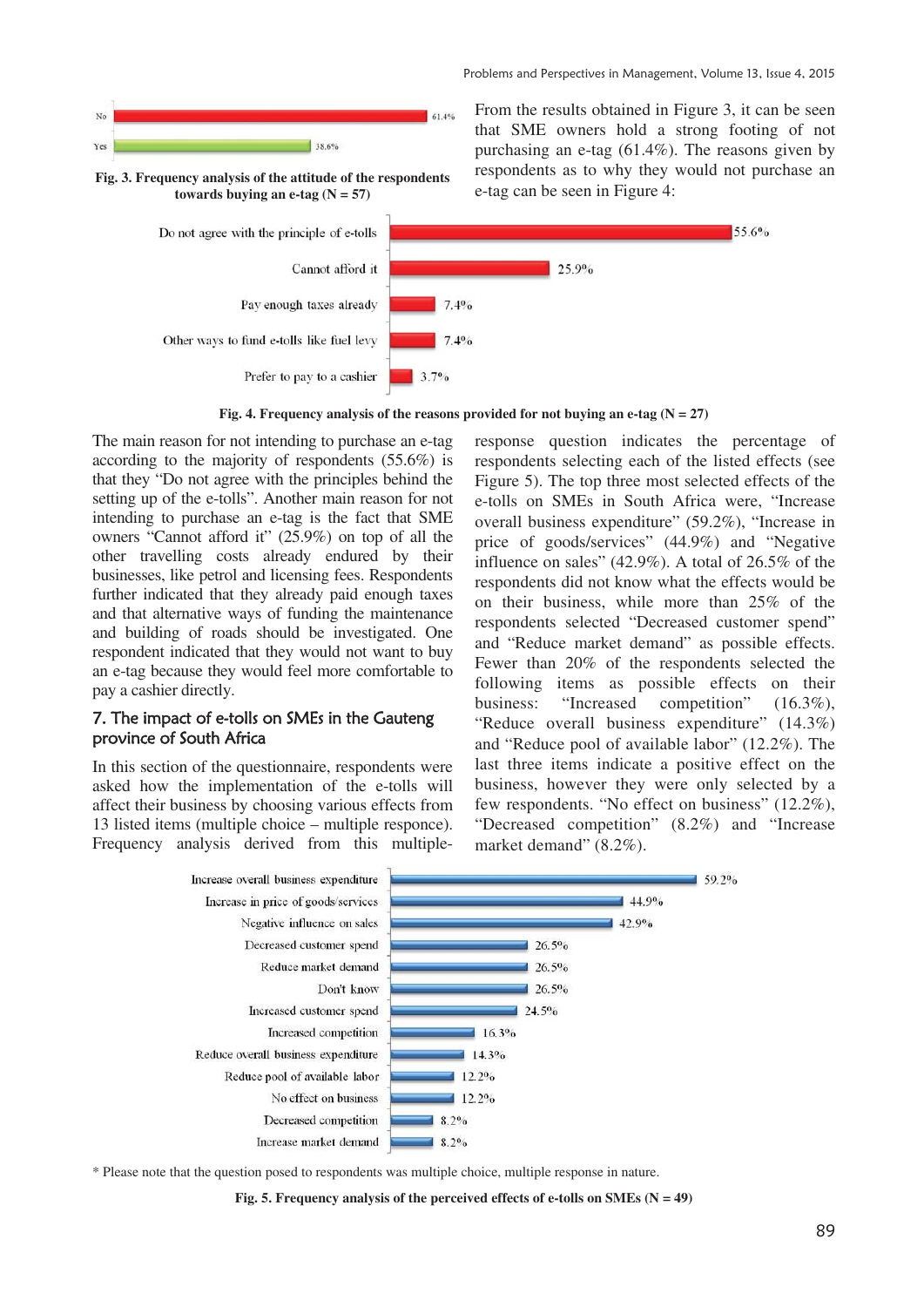

From the results obtained in Figure 3, it can be seen that SME owners hold a strong footing of not purchasing an e-tag (61.4%). The reasons given by respondents as to why they would not purchase an e-tag can be seen in Figure 4:

55.6%

Fig. 4. Frequency analysis of the reasons provided for not buying an e-tag  $(N = 27)$ 

The main reason for not intending to purchase an e-tag according to the majority of respondents (55.6%) is that they "Do not agree with the principles behind the setting up of the e-tolls". Another main reason for not intending to purchase an e-tag is the fact that SME owners "Cannot afford it" (25.9%) on top of all the other travelling costs already endured by their businesses, like petrol and licensing fees. Respondents further indicated that they already paid enough taxes and that alternative ways of funding the maintenance and building of roads should be investigated. One respondent indicated that they would not want to buy an e-tag because they would feel more comfortable to pay a cashier directly.

### 7. The impact of e-tolls on SMEs in the Gauteng province of South Africa

In this section of the questionnaire, respondents were asked how the implementation of the e-tolls will affect their business by choosing various effects from 13 listed items (multiple choice – multiple responce). Frequency analysis derived from this multipleresponse question indicates the percentage of respondents selecting each of the listed effects (see Figure 5). The top three most selected effects of the e-tolls on SMEs in South Africa were, "Increase overall business expenditure" (59.2%), "Increase in price of goods/services" (44.9%) and "Negative influence on sales" (42.9%). A total of 26.5% of the respondents did not know what the effects would be on their business, while more than 25% of the respondents selected "Decreased customer spend" and "Reduce market demand" as possible effects. Fewer than 20% of the respondents selected the following items as possible effects on their business: "Increased competition" (16.3%), "Reduce overall business expenditure" (14.3%) and "Reduce pool of available labor" (12.2%). The last three items indicate a positive effect on the business, however they were only selected by a few respondents. "No effect on business" (12.2%), "Decreased competition" (8.2%) and "Increase market demand" (8.2%).



\* Please note that the question posed to respondents was multiple choice, multiple response in nature.

Fig. 5. Frequency analysis of the perceived effects of e-tolls on SMEs (N = 49)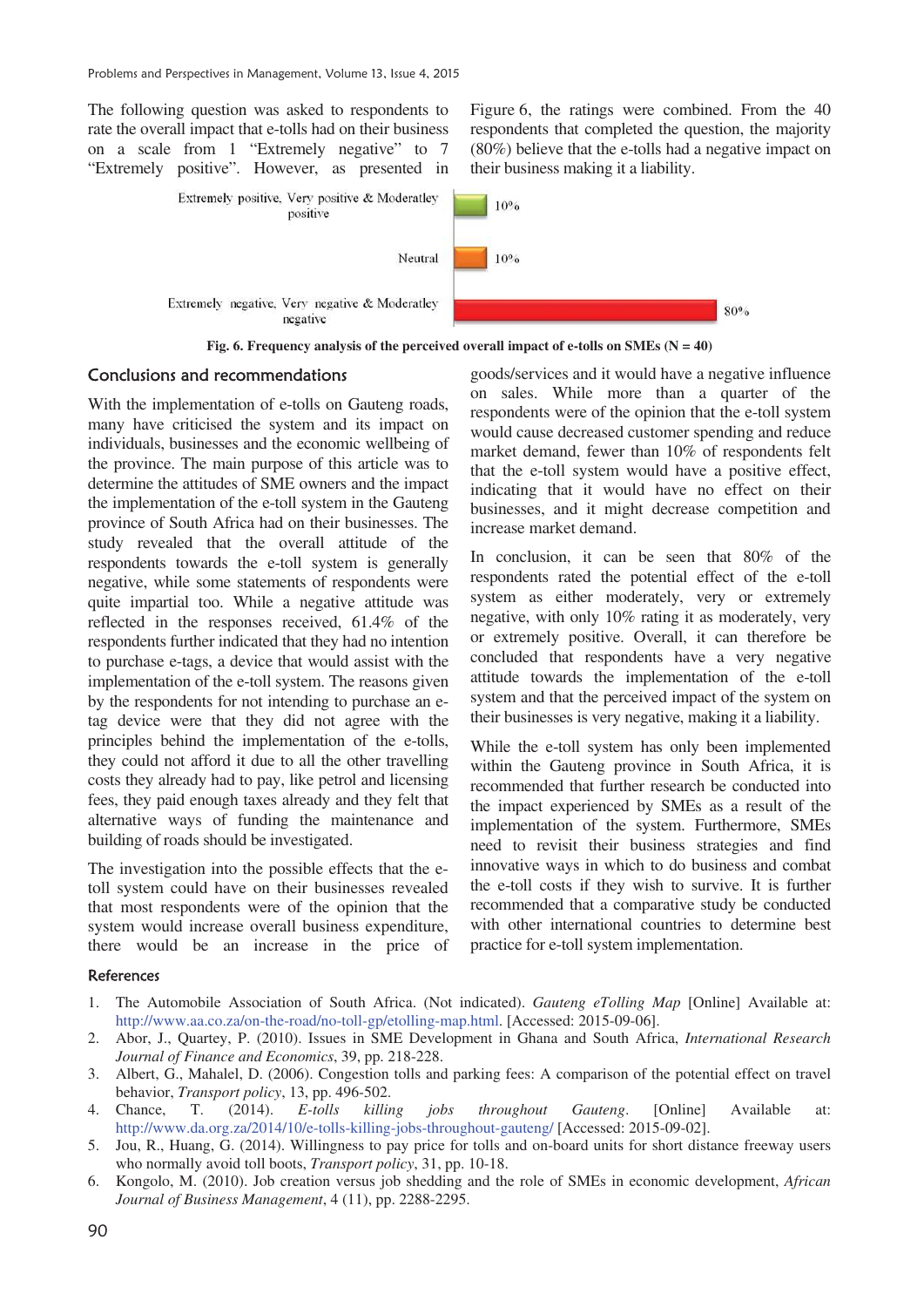The following question was asked to respondents to rate the overall impact that e-tolls had on their business on a scale from 1 "Extremely negative" to 7 "Extremely positive". However, as presented in Figure 6, the ratings were combined. From the 40 respondents that completed the question, the majority (80%) believe that the e-tolls had a negative impact on their business making it a liability.



Fig. 6. Frequency analysis of the perceived overall impact of e-tolls on SMEs  $(N = 40)$ 

#### Conclusions and recommendations

With the implementation of e-tolls on Gauteng roads, many have criticised the system and its impact on individuals, businesses and the economic wellbeing of the province. The main purpose of this article was to determine the attitudes of SME owners and the impact the implementation of the e-toll system in the Gauteng province of South Africa had on their businesses. The study revealed that the overall attitude of the respondents towards the e-toll system is generally negative, while some statements of respondents were quite impartial too. While a negative attitude was reflected in the responses received, 61.4% of the respondents further indicated that they had no intention to purchase e-tags, a device that would assist with the implementation of the e-toll system. The reasons given by the respondents for not intending to purchase an etag device were that they did not agree with the principles behind the implementation of the e-tolls, they could not afford it due to all the other travelling costs they already had to pay, like petrol and licensing fees, they paid enough taxes already and they felt that alternative ways of funding the maintenance and building of roads should be investigated.

The investigation into the possible effects that the etoll system could have on their businesses revealed that most respondents were of the opinion that the system would increase overall business expenditure, there would be an increase in the price of

goods/services and it would have a negative influence on sales. While more than a quarter of the respondents were of the opinion that the e-toll system would cause decreased customer spending and reduce market demand, fewer than 10% of respondents felt that the e-toll system would have a positive effect, indicating that it would have no effect on their businesses, and it might decrease competition and increase market demand.

In conclusion, it can be seen that 80% of the respondents rated the potential effect of the e-toll system as either moderately, very or extremely negative, with only 10% rating it as moderately, very or extremely positive. Overall, it can therefore be concluded that respondents have a very negative attitude towards the implementation of the e-toll system and that the perceived impact of the system on their businesses is very negative, making it a liability.

While the e-toll system has only been implemented within the Gauteng province in South Africa, it is recommended that further research be conducted into the impact experienced by SMEs as a result of the implementation of the system. Furthermore, SMEs need to revisit their business strategies and find innovative ways in which to do business and combat the e-toll costs if they wish to survive. It is further recommended that a comparative study be conducted with other international countries to determine best practice for e-toll system implementation.

#### References

- 1. The Automobile Association of South Africa. (Not indicated). *Gauteng eTolling Map* [Online] Available at: http://www.aa.co.za/on-the-road/no-toll-gp/etolling-map.html. [Accessed: 2015-09-06].
- 2. Abor, J., Quartey, P. (2010). Issues in SME Development in Ghana and South Africa, *International Research Journal of Finance and Economics*, 39, pp. 218-228.
- 3. Albert, G., Mahalel, D. (2006). Congestion tolls and parking fees: A comparison of the potential effect on travel behavior, *Transport policy*, 13, pp. 496-502.
- 4. Chance, T. (2014). *E-tolls killing jobs throughout Gauteng*. [Online] Available at: http://www.da.org.za/2014/10/e-tolls-killing-jobs-throughout-gauteng/ [Accessed: 2015-09-02].
- 5. Jou, R., Huang, G. (2014). Willingness to pay price for tolls and on-board units for short distance freeway users who normally avoid toll boots, *Transport policy*, 31, pp. 10-18.
- 6. Kongolo, M. (2010). Job creation versus job shedding and the role of SMEs in economic development, *African Journal of Business Management*, 4 (11), pp. 2288-2295.